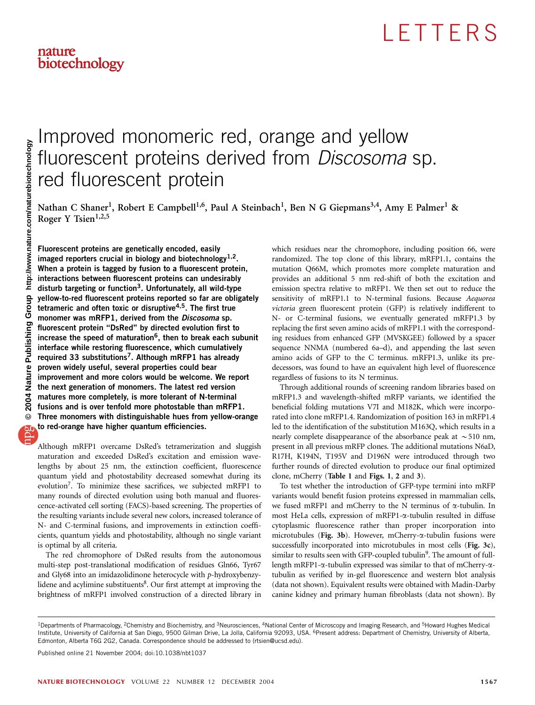# nature<br>biotechnology

## Improved monomeric red, orange and yellow fluorescent proteins derived from Discosoma sp. red fluorescent protein

Nathan C Shaner<sup>1</sup>, Robert E Campbell<sup>1,6</sup>, Paul A Steinbach<sup>1</sup>, Ben N G Giepmans<sup>3,4</sup>, Amy E Palmer<sup>1</sup> & Roger Y Tsien $1,2,5$ 

Fluorescent proteins are genetically encoded, easily imaged reporters crucial in biology and biotechnology<sup>1,2</sup>. When a protein is tagged by fusion to a fluorescent protein, interactions between fluorescent proteins can undesirably disturb targeting or function<sup>3</sup>. Unfortunately, all wild-type yellow-to-red fluorescent proteins reported so far are obligately tetrameric and often toxic or disruptive<sup>4,5</sup>. The first true monomer was mRFP1, derived from the *Discosoma* sp. fluorescent protein ''DsRed'' by directed evolution first to increase the speed of maturation<sup>6</sup>, then to break each subunit interface while restoring fluorescence, which cumulatively required 33 substitutions<sup>7</sup>. Although mRFP1 has already proven widely useful, several properties could bear improvement and more colors would be welcome. We report the next generation of monomers. The latest red version matures more completely, is more tolerant of N-terminal fusions and is over tenfold more photostable than mRFP1. Three monomers with distinguishable hues from yellow-orange to red-orange have higher quantum efficiencies.

Although mRFP1 overcame DsRed's tetramerization and sluggish maturation and exceeded DsRed's excitation and emission wavelengths by about 25 nm, the extinction coefficient, fluorescence quantum yield and photostability decreased somewhat during its evolution7. To minimize these sacrifices, we subjected mRFP1 to many rounds of directed evolution using both manual and fluorescence-activated cell sorting (FACS)-based screening. The properties of the resulting variants include several new colors, increased tolerance of N- and C-terminal fusions, and improvements in extinction coefficients, quantum yields and photostability, although no single variant is optimal by all criteria.

The red chromophore of DsRed results from the autonomous multi-step post-translational modification of residues Gln66, Tyr67 and Gly68 into an imidazolidinone heterocycle with p-hydroxybenzylidene and acylimine substituents $8$ . Our first attempt at improving the brightness of mRFP1 involved construction of a directed library in

which residues near the chromophore, including position 66, were randomized. The top clone of this library, mRFP1.1, contains the mutation Q66M, which promotes more complete maturation and provides an additional 5 nm red-shift of both the excitation and emission spectra relative to mRFP1. We then set out to reduce the sensitivity of mRFP1.1 to N-terminal fusions. Because Aequorea victoria green fluorescent protein (GFP) is relatively indifferent to N- or C-terminal fusions, we eventually generated mRFP1.3 by replacing the first seven amino acids of mRFP1.1 with the corresponding residues from enhanced GFP (MVSKGEE) followed by a spacer sequence NNMA (numbered 6a–d), and appending the last seven amino acids of GFP to the C terminus. mRFP1.3, unlike its predecessors, was found to have an equivalent high level of fluorescence regardless of fusions to its N terminus.

Through additional rounds of screening random libraries based on mRFP1.3 and wavelength-shifted mRFP variants, we identified the beneficial folding mutations V7I and M182K, which were incorporated into clone mRFP1.4. Randomization of position 163 in mRFP1.4 led to the identification of the substitution M163Q, which results in a nearly complete disappearance of the absorbance peak at  $\sim$  510 nm, present in all previous mRFP clones. The additional mutations N6aD, R17H, K194N, T195V and D196N were introduced through two further rounds of directed evolution to produce our final optimized clone, mCherry (Table 1 and Figs. 1, 2 and 3).

To test whether the introduction of GFP-type termini into mRFP variants would benefit fusion proteins expressed in mammalian cells, we fused mRFP1 and mCherry to the N terminus of  $\alpha$ -tubulin. In most HeLa cells, expression of mRFP1-a-tubulin resulted in diffuse cytoplasmic fluorescence rather than proper incorporation into microtubules (Fig. 3b). However, mCherry- $\alpha$ -tubulin fusions were successfully incorporated into microtubules in most cells (Fig. 3c), similar to results seen with GFP-coupled tubulin<sup>9</sup>. The amount of fulllength mRFP1-a-tubulin expressed was similar to that of mCherry-atubulin as verified by in-gel fluorescence and western blot analysis (data not shown). Equivalent results were obtained with Madin-Darby canine kidney and primary human fibroblasts (data not shown). By

<sup>&</sup>lt;sup>1</sup>Departments of Pharmacology, <sup>2</sup>Chemistry and Biochemistry, and <sup>3</sup>Neurosciences, <sup>4</sup>National Center of Microscopy and Imaging Research, and <sup>5</sup>Howard Hughes Medical Institute, University of California at San Diego, 9500 Gilman Drive, La Jolla, California 92093, USA. <sup>6</sup>Present address: Department of Chemistry, University of Alberta, Edmonton, Alberta T6G 2G2, Canada. Correspondence should be addressed to (rtsien@ucsd.edu).

Published online 21 November 2004; doi:10.1038/nbt1037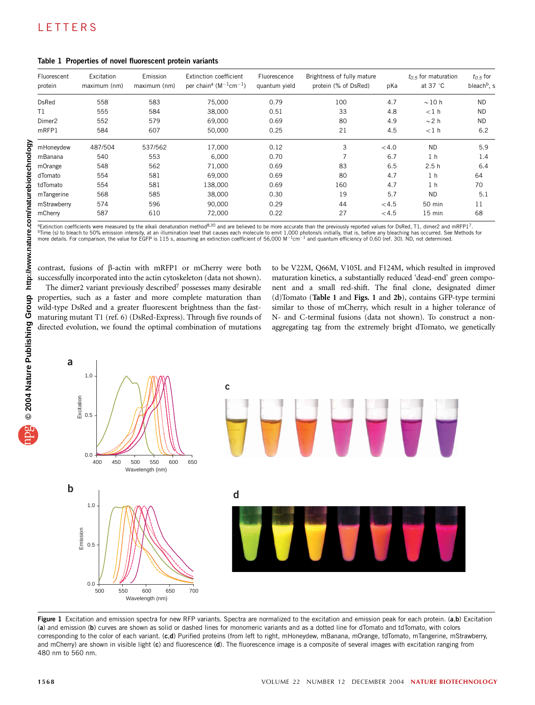| Fluorescent<br>protein | Excitation<br>maximum (nm) | Emission<br>maximum (nm) | Extinction coefficient<br>per chain <sup>a</sup> ( $M^{-1}$ cm <sup>-1</sup> ) | Fluorescence<br>quantum yield | Brightness of fully mature<br>protein (% of DsRed) | pKa   | $t_0$ = for maturation<br>at 37 $\degree$ C | $t_{0.5}$ for<br>bleach <sup>b</sup> , s |
|------------------------|----------------------------|--------------------------|--------------------------------------------------------------------------------|-------------------------------|----------------------------------------------------|-------|---------------------------------------------|------------------------------------------|
| <b>DsRed</b>           | 558                        | 583                      | 75.000                                                                         | 0.79                          | 100                                                | 4.7   | $\sim$ 10 h                                 | <b>ND</b>                                |
| T1                     | 555                        | 584                      | 38,000                                                                         | 0.51                          | 33                                                 | 4.8   | $<$ 1 $h$                                   | <b>ND</b>                                |
| Dimer <sub>2</sub>     | 552                        | 579                      | 69,000                                                                         | 0.69                          | 80                                                 | 4.9   | $\sim$ 2 h                                  | <b>ND</b>                                |
| mRFP1                  | 584                        | 607                      | 50,000                                                                         | 0.25                          | 21                                                 | 4.5   | $<1$ h                                      | 6.2                                      |
| mHoneydew              | 487/504                    | 537/562                  | 17.000                                                                         | 0.12                          | 3                                                  | < 4.0 | <b>ND</b>                                   | 5.9                                      |
| mBanana                | 540                        | 553                      | 6.000                                                                          | 0.70                          | $\overline{7}$                                     | 6.7   | 1 <sub>h</sub>                              | 1.4                                      |
| mOrange                | 548                        | 562                      | 71,000                                                                         | 0.69                          | 83                                                 | 6.5   | 2.5h                                        | 6.4                                      |
| dTomato                | 554                        | 581                      | 69.000                                                                         | 0.69                          | 80                                                 | 4.7   | 1 <sub>h</sub>                              | 64                                       |
| tdTomato               | 554                        | 581                      | 138,000                                                                        | 0.69                          | 160                                                | 4.7   | 1 <sub>h</sub>                              | 70                                       |
| mTangerine             | 568                        | 585                      | 38,000                                                                         | 0.30                          | 19                                                 | 5.7   | <b>ND</b>                                   | 5.1                                      |
| mStrawberry            | 574                        | 596                      | 90,000                                                                         | 0.29                          | 44                                                 | < 4.5 | 50 min                                      | 11                                       |
| mCherry                | 587                        | 610                      | 72,000                                                                         | 0.22                          | 27                                                 | < 4.5 | $15$ min                                    | 68                                       |

Table 1 Properties of novel fluorescent protein variants

<sup>a</sup>Extinction coefficients were measured by the alkali denaturation method<sup>8,30</sup> and are believed to be more accurate than the previously reported values for DsRed, T1, dimer2 and mRFP1<sup>7</sup>. <sup>b</sup>Time (s) to bleach to 50% emission intensity, at an illumination level that causes each molecule to emit 1,000 photons/s initially, that is, before any bleaching has occurred. See Methods for<br>more details. For comparis

contrast, fusions of b-actin with mRFP1 or mCherry were both successfully incorporated into the actin cytoskeleton (data not shown).

The dimer2 variant previously described<sup>7</sup> possesses many desirable properties, such as a faster and more complete maturation than wild-type DsRed and a greater fluorescent brightness than the fastmaturing mutant T1 (ref. 6) (DsRed-Express). Through five rounds of directed evolution, we found the optimal combination of mutations

to be V22M, Q66M, V105L and F124M, which resulted in improved maturation kinetics, a substantially reduced 'dead-end' green component and a small red-shift. The final clone, designated dimer (d)Tomato (Table 1 and Figs. 1 and 2b), contains GFP-type termini similar to those of mCherry, which result in a higher tolerance of N- and C-terminal fusions (data not shown). To construct a nonaggregating tag from the extremely bright dTomato, we genetically



Figure 1 Excitation and emission spectra for new RFP variants. Spectra are normalized to the excitation and emission peak for each protein. (a,b) Excitation (a) and emission (b) curves are shown as solid or dashed lines for monomeric variants and as a dotted line for dTomato and tdTomato, with colors corresponding to the color of each variant. (c,d) Purified proteins (from left to right, mHoneydew, mBanana, mOrange, tdTomato, mTangerine, mStrawberry, and mCherry) are shown in visible light (c) and fluorescence (d). The fluorescence image is a composite of several images with excitation ranging from 480 nm to 560 nm.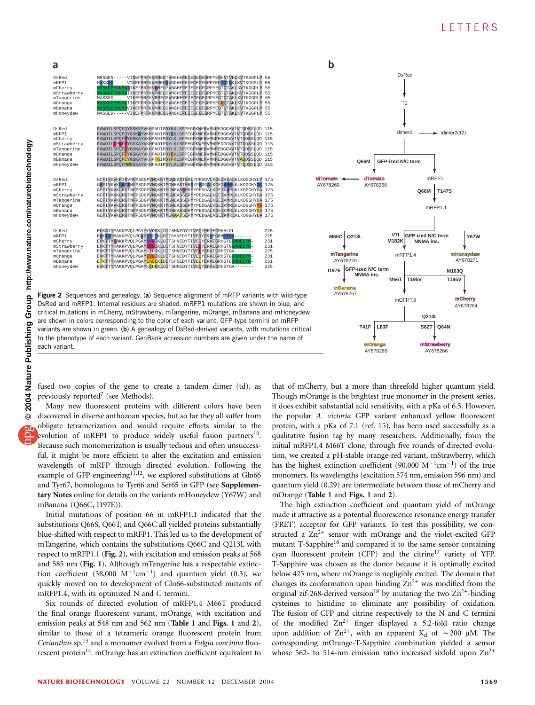#### **LETTERS**



| a                                                                                         |                                                                                                                                                                                                                                                                                                                                                                                                                                                                                                                                                                                                                                                                      |                                               | b                        |
|-------------------------------------------------------------------------------------------|----------------------------------------------------------------------------------------------------------------------------------------------------------------------------------------------------------------------------------------------------------------------------------------------------------------------------------------------------------------------------------------------------------------------------------------------------------------------------------------------------------------------------------------------------------------------------------------------------------------------------------------------------------------------|-----------------------------------------------|--------------------------|
| DsRed<br>mRFP1<br>mCherry<br>mStrawberry<br>mTangerine<br>mOrange<br>mBanana<br>mHoneydew | MRSSKN-----VIKEFMRFKVRMEGTVNGHEFEIEGEGEGRPYEGHNTVKLKVTKGGPLP 55<br>MASSED-----VIKEFMRFKVRMEGSVNGHEFEIEGEGEGRPYEGTOTAKLKVTKGGPLP<br>WVSKGEEDNMAIIKEFMRFKVHMEGSVNGHEFEIEGEGEGRPYEGTOTAKLKVTKGGPLP 55<br>MVSKGEENNMAIIKEFMRFKVRMEGSVNGHEFEIEGEGEGRPYEGTOTAKLKVTKGGPLP 55<br>MASSED-----VIKEFMRFKVRMEGSVNGHEFEIEGEGEGRPYEGTOTAKLKVTKGGPLP<br>WVSKGEENNMAIIKEFMRFKVRMEGSVNGHEFEIEGEGEGRPYEGFOTAKLKVTKGGPLP<br>WVSKGEENNMAVIKEFMRFKVRMEGSVNGHEFEIEGEGEGRPYEGTOTAKLKVTKGGPLP<br>MASSED-----VIKEFMRFKVRMEGSVNGHEFEIEGEGEGRPYEGTOTAKLKVTKGGPLP                                                                                                                                | 55<br>55<br>55<br>55<br>55                    |                          |
| DsRed<br>mRFP1<br>mCherry<br>mStrawberry<br>mTangerine<br>mOrange<br>mBanana<br>mHonevdew | FAWDILSPOFOYGSKVYVKHPADIPDYKKLSFPEGFKWERVMNFEDGGVVTVTODSSLOD 115<br>FAWDILSPOFOYGSKAYVKHPADIPDYLKLSFPEGFKWERVMNFEDGGVVTVTODSSLOD 115<br>FAWDILSPOFMYGSKAYVKHPADIPDYLKLSFPEGFKWERVMNFEDGGVVTVTODSSLOD 115<br>FAWDIL <mark>TPNFTYGSKAYVKHPADIPDYLKLSFPEGFKWERVMNFEDGGVVTVTODSSLOD 115</mark><br>FAWDILSPOF <mark>C</mark> YGSKAYVKHPADIPDYLKLSFPEGFKWERVMNFEDGGVVTVTODSSLOD 115<br>FAWDILSPOF <mark>T</mark> YGSKAYVKHPADIPDY <mark>F</mark> KLSFPEGFKWERVMNFEDGGVVTVTODSSLOD 115<br>FAWDILSPOF <mark>C</mark> YGSKAYVKHP <mark>TG</mark> IPDYFKLSFPEGFKWERVMNFEDGGVVTV <mark>A</mark> ODSSLOD 115<br>FAWDILSPOFMWGSKAYVKHPADIPDYLKLSFPEGFKWERVMNFEDGGVVTVTODSSLOD 115 |                                               |                          |
| DsRed<br>mRFP1<br>mCherry<br>mStrawberry<br>mTangerine<br>mOrange<br>mBanana<br>mHonevdew | GCFIYKVKFIGVNFPSDGPVMOKKTMGWEASTERLYPRDGVLKGEIHKALKLKDGGHYLV 175<br>GEFIYKVKLRGTNFPSDGPVMOKKTMGWEASTERMYPEDGALKGEIKMRLKLKDGGHYDA<br>GEFIYKVKLRGTNFPSDGPVMOKKTMGWEASSERMYPEDGALKGEIKORLKLKDGGHYDA<br>GEFIYKVKLRGTNFPSDGPVMOKKTMGWEASSERMYPEDGALKGEIKMRLKLKDGGHYDA<br>GEFIYKVKLRGTNFPSDGPVMOKKTMGWEASSERMYPEDGALKGEIKMRLKLKDGGHYDA<br>GEFIYKVKLRGTNFPSDGPVMOKKTMGWEASSERMYPEDGALKGEIKMRLKLKDGGHYTS<br>GEFIYKVKLRGTNFPSDGPVMOKKTMGWEASSERMYPEDGALKGEIKMRLKLKDGGHYSA<br>GEFIYKVKLRGTNFPSDGPVMOKKTMGWAATSERMYPEDGALKGEIKMRLKLKDGGHYDA                                                                                                                                     | 175<br>175<br>175<br>175<br>175<br>175<br>175 | <b>fdTomat</b><br>AY6782 |
| DsRed<br>mRFP1<br>mCherry<br>mStrawberry<br>mTangerine<br>mOrange<br>mBanana              | EFKSIYMAKKPVOLPGYYYVDSKLDITSHNEDYTIVEOYERTEGRHHLFL-<br>EVKTTYMAKKPVOLPGAYKTDIKLDITSHNEDYTIVEOYERAEGRHSTGA<br>EVKTTYKAKKPVOLPGAYNVNIKLDITSHNEDYTIVEQYERAEGRHSTGGMDELYK-<br>EVKTTYKAKKPVOLPGAYIVGIKLDITSHNEDYTIVELYERAEGRHSTGGMDELYK<br>EVKTTYMAKKPVOLPGAYKTDIKLDITSHNEDYTIVELYERAEGRHSTGA-------<br>EVKTTYKAKKPVOLPGAYIVGIKLDITSHNEDYTIVEOYERAEGRHSTGGMDELYK-<br>E <mark>T</mark> KTTYKAKKPVOLPGAY <mark>IAGEKI</mark> DITSHNEDYTIVE <mark>L</mark> YERAEGRHSTGGMDELYK                                                                                                                                                                                                | 225<br>225<br>231<br>231<br>225<br>231<br>231 | M<br>m                   |
| mHoneydew                                                                                 | EVKTTYMAKKPVOLPGAYKIDGKLDITSHNEDYTIVEOYERAEGRHSTGA------                                                                                                                                                                                                                                                                                                                                                                                                                                                                                                                                                                                                             | 225                                           | 119                      |



Figure 2 Sequences and genealogy. (a) Sequence alignment of mRFP variants with wild-type DsRed and mRFP1. Internal residues are shaded. mRFP1 mutations are shown in blue, and critical mutations in mCherry, mStrawberry, mTangerine, mOrange, mBanana and mHoneydew are shown in colors corresponding to the color of each variant. GFP-type termini on mRFP variants are shown in green. (b) A genealogy of DsRed-derived variants, with mutations critical to the phenotype of each variant. GenBank accession numbers are given under the name of each variant.

fused two copies of the gene to create a tandem dimer (td), as previously reported<sup>7</sup> (see Methods).

Many new fluorescent proteins with different colors have been discovered in diverse anthozoan species, but so far they all suffer from obligate tetramerization and would require efforts similar to the evolution of mRFP1 to produce widely useful fusion partners<sup>10</sup>. Because such monomerization is usually tedious and often unsuccessful, it might be more efficient to alter the excitation and emission wavelength of mRFP through directed evolution. Following the example of GFP engineering<sup>11,12</sup>, we explored substitutions at Gln66 and Tyr67, homologous to Tyr66 and Ser65 in GFP (see Supplementary Notes online for details on the variants mHoneydew (Y67W) and mBanana (Q66C, I197E)).

Initial mutations of position 66 in mRFP1.1 indicated that the substitutions Q66S, Q66T, and Q66C all yielded proteins substantially blue-shifted with respect to mRFP1. This led us to the development of mTangerine, which contains the substitutions Q66C and Q213L with respect to mRFP1.1 (Fig. 2), with excitation and emission peaks at 568 and 585 nm (Fig. 1). Although mTangerine has a respectable extinction coefficient (38,000  $M^{-1}cm^{-1}$ ) and quantum yield (0.3), we quickly moved on to development of Gln66-substituted mutants of mRFP1.4, with its optimized N and C termini.

Six rounds of directed evolution of mRFP1.4 M66T produced the final orange fluorescent variant, mOrange, with excitation and emission peaks at 548 nm and 562 nm (Table 1 and Figs. 1 and 2), similar to those of a tetrameric orange fluorescent protein from Cerianthus sp.<sup>13</sup> and a monomer evolved from a Fulgia concinna fluorescent protein $14$ . mOrange has an extinction coefficient equivalent to

that of mCherry, but a more than threefold higher quantum yield. Though mOrange is the brightest true monomer in the present series, it does exhibit substantial acid sensitivity, with a pKa of 6.5. However, the popular A. victoria GFP variant enhanced yellow fluorescent protein, with a pKa of 7.1 (ref. 15), has been used successfully as a qualitative fusion tag by many researchers. Additionally, from the initial mRFP1.4 M66T clone, through five rounds of directed evolution, we created a pH-stable orange-red variant, mStrawberry, which has the highest extinction coefficient (90,000  $M^{-1}cm^{-1}$ ) of the true monomers. Its wavelengths (excitation 574 nm, emission 596 nm) and quantum yield (0.29) are intermediate between those of mCherry and mOrange (Table 1 and Figs. 1 and 2).

The high extinction coefficient and quantum yield of mOrange made it attractive as a potential fluorescence resonance energy transfer (FRET) acceptor for GFP variants. To test this possibility, we constructed a  $\text{Zn}^{2+}$  sensor with mOrange and the violet-excited GFP mutant T-Sapphire<sup>16</sup> and compared it to the same sensor containing cyan fluorescent protein (CFP) and the citrine17 variety of YFP. T-Sapphire was chosen as the donor because it is optimally excited below 425 nm, where mOrange is negligibly excited. The domain that changes its conformation upon binding  $\text{Zn}^{2+}$  was modified from the original zif-268-derived version<sup>18</sup> by mutating the two  $Zn^{2+}$ -binding cysteines to histidine to eliminate any possibility of oxidation. The fusion of CFP and citrine respectively to the N and C termini of the modified  $Zn^{2+}$  finger displayed a 5.2-fold ratio change upon addition of  $\text{Zn}^{2+}$ , with an apparent K<sub>d</sub> of  $\sim$  200 µM. The corresponding mOrange-T-Sapphire combination yielded a sensor whose 562- to 514-nm emission ratio increased sixfold upon  $\text{Zn}^{2+}$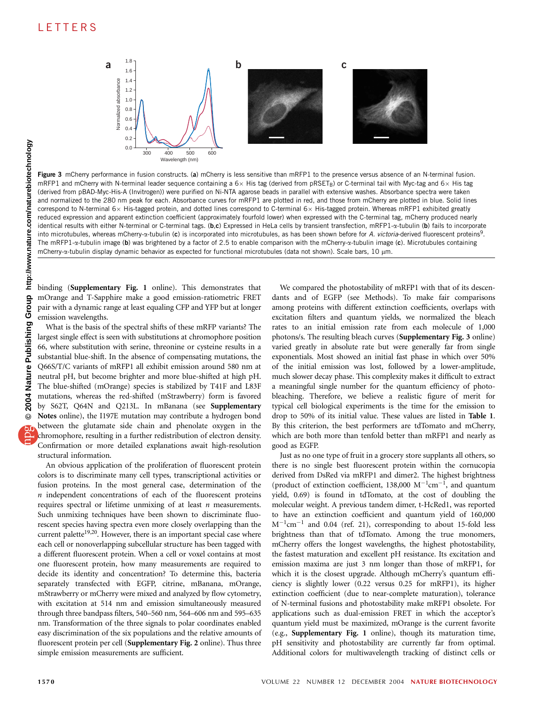

Figure 3 mCherry performance in fusion constructs. (a) mCherry is less sensitive than mRFP1 to the presence versus absence of an N-terminal fusion. mRFP1 and mCherry with N-terminal leader sequence containing a 6 $\times$  His tag (derived from pRSET<sub>B</sub>) or C-terminal tail with Myc-tag and 6 $\times$  His tag (derived from pBAD-Myc-His-A (Invitrogen)) were purified on Ni-NTA agarose beads in parallel with extensive washes. Absorbance spectra were taken and normalized to the 280 nm peak for each. Absorbance curves for mRFP1 are plotted in red, and those from mCherry are plotted in blue. Solid lines correspond to N-terminal 6 $\times$  His-tagged protein, and dotted lines correspond to C-terminal 6 $\times$  His-tagged protein. Whereas mRFP1 exhibited greatly reduced expression and apparent extinction coefficient (approximately fourfold lower) when expressed with the C-terminal tag, mCherry produced nearly identical results with either N-terminal or C-terminal tags. (b,c) Expressed in HeLa cells by transient transfection, mRFP1-a-tubulin (b) fails to incorporate into microtubules, whereas mCherry-a-tubulin (c) is incorporated into microtubules, as has been shown before for A. victoria-derived fluorescent proteins<sup>9</sup>. The mRFP1- $\alpha$ -tubulin image (b) was brightened by a factor of 2.5 to enable comparison with the mCherry- $\alpha$ -tubulin image (c). Microtubules containing mCherry- $\alpha$ -tubulin display dynamic behavior as expected for functional microtubules (data not shown). Scale bars, 10  $\mu$ m.

binding (Supplementary Fig. 1 online). This demonstrates that mOrange and T-Sapphire make a good emission-ratiometric FRET pair with a dynamic range at least equaling CFP and YFP but at longer emission wavelengths.

What is the basis of the spectral shifts of these mRFP variants? The largest single effect is seen with substitutions at chromophore position 66, where substitution with serine, threonine or cysteine results in a substantial blue-shift. In the absence of compensating mutations, the Q66S/T/C variants of mRFP1 all exhibit emission around 580 nm at neutral pH, but become brighter and more blue-shifted at high pH. The blue-shifted (mOrange) species is stabilized by T41F and L83F mutations, whereas the red-shifted (mStrawberry) form is favored by S62T, Q64N and Q213L. In mBanana (see Supplementary Notes online), the I197E mutation may contribute a hydrogen bond between the glutamate side chain and phenolate oxygen in the chromophore, resulting in a further redistribution of electron density. Confirmation or more detailed explanations await high-resolution structural information.

An obvious application of the proliferation of fluorescent protein colors is to discriminate many cell types, transcriptional activities or fusion proteins. In the most general case, determination of the  $n$  independent concentrations of each of the fluorescent proteins requires spectral or lifetime unmixing of at least  $n$  measurements. Such unmixing techniques have been shown to discriminate fluorescent species having spectra even more closely overlapping than the current palette<sup>19,20</sup>. However, there is an important special case where each cell or nonoverlapping subcellular structure has been tagged with a different fluorescent protein. When a cell or voxel contains at most one fluorescent protein, how many measurements are required to decide its identity and concentration? To determine this, bacteria separately transfected with EGFP, citrine, mBanana, mOrange, mStrawberry or mCherry were mixed and analyzed by flow cytometry, with excitation at 514 nm and emission simultaneously measured through three bandpass filters, 540–560 nm, 564–606 nm and 595–635 nm. Transformation of the three signals to polar coordinates enabled easy discrimination of the six populations and the relative amounts of fluorescent protein per cell (Supplementary Fig. 2 online). Thus three simple emission measurements are sufficient.

We compared the photostability of mRFP1 with that of its descendants and of EGFP (see Methods). To make fair comparisons among proteins with different extinction coefficients, overlaps with excitation filters and quantum yields, we normalized the bleach rates to an initial emission rate from each molecule of 1,000 photons/s. The resulting bleach curves (Supplementary Fig. 3 online) varied greatly in absolute rate but were generally far from single exponentials. Most showed an initial fast phase in which over 50% of the initial emission was lost, followed by a lower-amplitude, much slower decay phase. This complexity makes it difficult to extract a meaningful single number for the quantum efficiency of photobleaching. Therefore, we believe a realistic figure of merit for typical cell biological experiments is the time for the emission to drop to 50% of its initial value. These values are listed in Table 1. By this criterion, the best performers are tdTomato and mCherry, which are both more than tenfold better than mRFP1 and nearly as good as EGFP.

Just as no one type of fruit in a grocery store supplants all others, so there is no single best fluorescent protein within the cornucopia derived from DsRed via mRFP1 and dimer2. The highest brightness (product of extinction coefficient, 138,000  $M^{-1}cm^{-1}$ , and quantum yield, 0.69) is found in tdTomato, at the cost of doubling the molecular weight. A previous tandem dimer, t-HcRed1, was reported to have an extinction coefficient and quantum yield of 160,000  $M^{-1}$ cm<sup>-1</sup> and 0.04 (ref. 21), corresponding to about 15-fold less brightness than that of tdTomato. Among the true monomers, mCherry offers the longest wavelengths, the highest photostability, the fastest maturation and excellent pH resistance. Its excitation and emission maxima are just 3 nm longer than those of mRFP1, for which it is the closest upgrade. Although mCherry's quantum efficiency is slightly lower (0.22 versus 0.25 for mRFP1), its higher extinction coefficient (due to near-complete maturation), tolerance of N-terminal fusions and photostability make mRFP1 obsolete. For applications such as dual-emission FRET in which the acceptor's quantum yield must be maximized, mOrange is the current favorite (e.g., Supplementary Fig. 1 online), though its maturation time, pH sensitivity and photostability are currently far from optimal. Additional colors for multiwavelength tracking of distinct cells or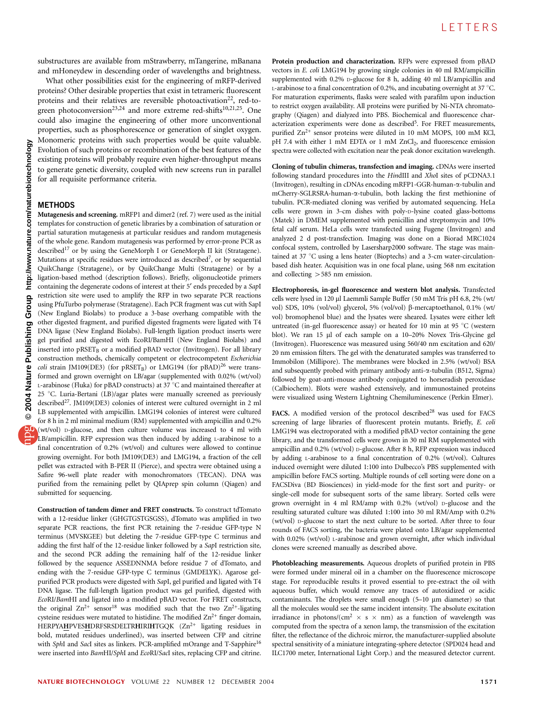substructures are available from mStrawberry, mTangerine, mBanana and mHoneydew in descending order of wavelengths and brightness.

What other possibilities exist for the engineering of mRFP-derived proteins? Other desirable properties that exist in tetrameric fluorescent proteins and their relatives are reversible photoactivation<sup>22</sup>, red-togreen photoconversion<sup>23,24</sup> and more extreme red-shifts<sup>10,21,25</sup>. One could also imagine the engineering of other more unconventional properties, such as phosphorescence or generation of singlet oxygen. Monomeric proteins with such properties would be quite valuable. Evolution of such proteins or recombination of the best features of the existing proteins will probably require even higher-throughput means to generate genetic diversity, coupled with new screens run in parallel for all requisite performance criteria.

#### **METHODS**

Mutagenesis and screening. mRFP1 and dimer2 (ref. 7) were used as the initial templates for construction of genetic libraries by a combination of saturation or partial saturation mutagenesis at particular residues and random mutagenesis of the whole gene. Random mutagenesis was performed by error-prone PCR as described<sup>17</sup> or by using the GeneMorph I or GeneMorph II kit (Stratagene). Mutations at specific residues were introduced as described<sup>7</sup>, or by sequential QuikChange (Stratagene), or by QuikChange Multi (Stratagene) or by a ligation-based method (description follows). Briefly, oligonucleotide primers containing the degenerate codons of interest at their 5' ends preceded by a SapI restriction site were used to amplify the RFP in two separate PCR reactions using PfuTurbo polymerase (Stratagene). Each PCR fragment was cut with SapI (New England Biolabs) to produce a 3-base overhang compatible with the other digested fragment, and purified digested fragments were ligated with T4 DNA ligase (New England Biolabs). Full-length ligation product inserts were gel purified and digested with EcoRI/BamHI (New England Biolabs) and inserted into  $pRSET_B$  or a modified  $pBAD$  vector (Invitrogen). For all library construction methods, chemically competent or electrocompetent Escherichia coli strain JM109(DE3) (for pRSET<sub>B</sub>) or LMG194 (for pBAD)<sup>26</sup> were transformed and grown overnight on LB/agar (supplemented with 0.02% (wt/vol) L-arabinose (Fluka) for pBAD constructs) at 37  $^{\circ}$ C and maintained thereafter at 25 °C. Luria-Bertani (LB)/agar plates were manually screened as previously described<sup>27</sup>. JM109(DE3) colonies of interest were cultured overnight in 2 ml LB supplemented with ampicillin. LMG194 colonies of interest were cultured for 8 h in 2 ml minimal medium (RM) supplemented with ampicillin and 0.2% (wt/vol) D-glucose, and then culture volume was increased to 4 ml with LB/ampicillin. RFP expression was then induced by adding L-arabinose to a final concentration of 0.2% (wt/vol) and cultures were allowed to continue growing overnight. For both JM109(DE3) and LMG194, a fraction of the cell pellet was extracted with B-PER II (Pierce), and spectra were obtained using a Safire 96-well plate reader with monochromators (TECAN). DNA was purified from the remaining pellet by QIAprep spin column (Qiagen) and submitted for sequencing.

Construction of tandem dimer and FRET constructs. To construct tdTomato with a 12-residue linker (GHGTGSTGSGSS), dTomato was amplified in two separate PCR reactions, the first PCR retaining the 7-residue GFP-type N terminus (MVSKGEE) but deleting the 7-residue GFP-type C terminus and adding the first half of the 12-residue linker followed by a SapI restriction site, and the second PCR adding the remaining half of the 12-residue linker followed by the sequence ASSEDNNMA before residue 7 of dTomato, and ending with the 7-residue GFP-type C terminus (GMDELYK). Agarose gelpurified PCR products were digested with SapI, gel purified and ligated with T4 DNA ligase. The full-length ligation product was gel purified, digested with EcoRI/BamHI and ligated into a modified pBAD vector. For FRET constructs, the original  $\text{Zn}^{2+}$  sensor<sup>18</sup> was modified such that the two  $\text{Zn}^{2+}$ -ligating cysteine residues were mutated to histidine. The modified  $Zn^{2+}$  finger domain, HERPYAHPVESHDRFSRSDELTRHIRIHTGQK (Zn<sup>2+</sup> ligating residues in bold, mutated residues underlined), was inserted between CFP and citrine with SphI and SacI sites as linkers. PCR-amplified mOrange and T-Sapphire<sup>16</sup> were inserted into BamHI/SphI and EcoRI/SacI sites, replacing CFP and citrine. Protein production and characterization. RFPs were expressed from pBAD vectors in E. coli LMG194 by growing single colonies in 40 ml RM/ampicillin supplemented with 0.2% D-glucose for 8 h, adding 40 ml LB/ampicillin and L-arabinose to a final concentration of 0.2%, and incubating overnight at 37  $^{\circ}$ C. For maturation experiments, flasks were sealed with parafilm upon induction to restrict oxygen availability. All proteins were purified by Ni-NTA chromatography (Qiagen) and dialyzed into PBS. Biochemical and fluorescence characterization experiments were done as described<sup>5</sup>. For FRET measurements, purified  $Zn^{2+}$  sensor proteins were diluted in 10 mM MOPS, 100 mM KCl, pH 7.4 with either 1 mM EDTA or 1 mM ZnCl<sub>2</sub>, and fluorescence emission spectra were collected with excitation near the peak donor excitation wavelength.

Cloning of tubulin chimeras, transfection and imaging. cDNAs were inserted following standard procedures into the HindIII and XhoI sites of pCDNA3.1 (Invitrogen), resulting in cDNAs encoding mRFP1-GGR-human-a-tubulin and mCherry-SGLRSRA-human-a-tubulin, both lacking the first methionine of tubulin. PCR-mediated cloning was verified by automated sequencing. HeLa cells were grown in 3-cm dishes with poly-D-lysine coated glass-bottoms (Matek) in DMEM supplemented with penicillin and streptomycin and 10% fetal calf serum. HeLa cells were transfected using Fugene (Invitrogen) and analyzed 2 d post-transfection. Imaging was done on a Biorad MRC1024 confocal system, controlled by Lasersharp2000 software. The stage was maintained at 37 °C using a lens heater (Bioptechs) and a 3-cm water-circulationbased dish heater. Acquisition was in one focal plane, using 568 nm excitation and collecting  $>585$  nm emission.

Electrophoresis, in-gel fluorescence and western blot analysis. Transfected cells were lysed in 120 µl Laemmli Sample Buffer (50 mM Tris pH 6.8, 2% (wt/ vol) SDS, 10% (vol/vol) glycerol, 5% (vol/vol) β-mercaptoethanol, 0.1% (wt/ vol) bromophenol blue) and the lysates were sheared. Lysates were either left untreated (in-gel fluorescence assay) or heated for 10 min at 95  $^{\circ}$ C (western blot). We ran 15 µl of each sample on a 10-20% Novex Tris-Glycine gel (Invitrogen). Fluorescence was measured using 560/40 nm excitation and 620/ 20 nm emission filters. The gel with the denaturated samples was transferred to Immobilon (Millipore). The membranes were blocked in 2.5% (wt/vol) BSA and subsequently probed with primary antibody anti- $\alpha$ -tubulin (B512, Sigma) followed by goat-anti-mouse antibody conjugated to horseradish peroxidase (Calbiochem). Blots were washed extensively, and immunostained proteins were visualized using Western Lightning Chemiluminescence (Perkin Elmer).

FACS. A modified version of the protocol described<sup>28</sup> was used for FACS screening of large libraries of fluorescent protein mutants. Briefly, E. coli LMG194 was electroporated with a modified pBAD vector containing the gene library, and the transformed cells were grown in 30 ml RM supplemented with ampicillin and 0.2% (wt/vol) D-glucose. After 8 h, RFP expression was induced by adding L-arabinose to a final concentration of 0.2% (wt/vol). Cultures induced overnight were diluted 1:100 into Dulbecco's PBS supplemented with ampicillin before FACS sorting. Multiple rounds of cell sorting were done on a FACSDiva (BD Biosciences) in yield-mode for the first sort and purity- or single-cell mode for subsequent sorts of the same library. Sorted cells were grown overnight in 4 ml RM/amp with 0.2% (wt/vol) D-glucose and the resulting saturated culture was diluted 1:100 into 30 ml RM/Amp with 0.2% (wt/vol) D-glucose to start the next culture to be sorted. After three to four rounds of FACS sorting, the bacteria were plated onto LB/agar supplemented with 0.02% (wt/vol) L-arabinose and grown overnight, after which individual clones were screened manually as described above.

Photobleaching measurements. Aqueous droplets of purified protein in PBS were formed under mineral oil in a chamber on the fluorescence microscope stage. For reproducible results it proved essential to pre-extract the oil with aqueous buffer, which would remove any traces of autoxidized or acidic contaminants. The droplets were small enough  $(5-10 \mu m)$  diameter) so that all the molecules would see the same incident intensity. The absolute excitation irradiance in photons/(cm<sup>2</sup>  $\times$  s  $\times$  nm) as a function of wavelength was computed from the spectra of a xenon lamp, the transmission of the excitation filter, the reflectance of the dichroic mirror, the manufacturer-supplied absolute spectral sensitivity of a miniature integrating-sphere detector (SPD024 head and ILC1700 meter, International Light Corp.) and the measured detector current.